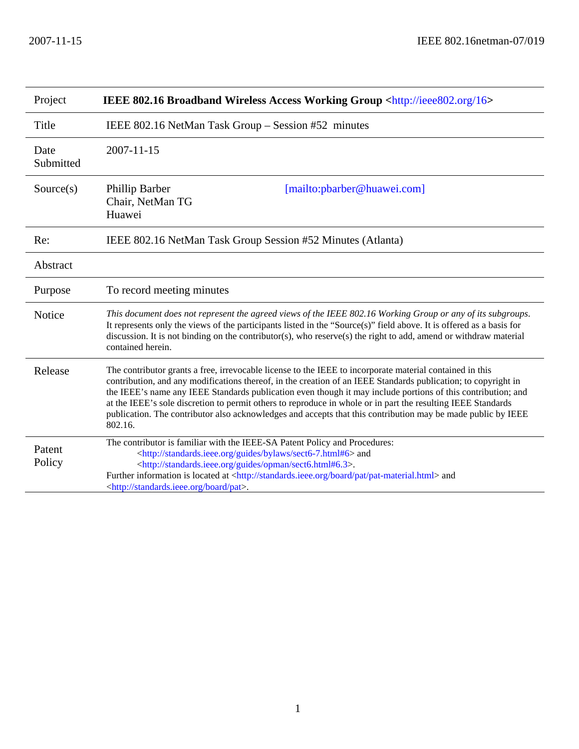| Project           | IEEE 802.16 Broadband Wireless Access Working Group <http: 16="" ieee802.org=""></http:>                                                                                                                                                                                                                                                                                                                                                                                                                                                                                              |
|-------------------|---------------------------------------------------------------------------------------------------------------------------------------------------------------------------------------------------------------------------------------------------------------------------------------------------------------------------------------------------------------------------------------------------------------------------------------------------------------------------------------------------------------------------------------------------------------------------------------|
| Title             | IEEE 802.16 NetMan Task Group – Session #52 minutes                                                                                                                                                                                                                                                                                                                                                                                                                                                                                                                                   |
| Date<br>Submitted | $2007 - 11 - 15$                                                                                                                                                                                                                                                                                                                                                                                                                                                                                                                                                                      |
| Source(s)         | Phillip Barber<br>[mailto:pbarber@huawei.com]<br>Chair, NetMan TG<br>Huawei                                                                                                                                                                                                                                                                                                                                                                                                                                                                                                           |
| Re:               | IEEE 802.16 NetMan Task Group Session #52 Minutes (Atlanta)                                                                                                                                                                                                                                                                                                                                                                                                                                                                                                                           |
| Abstract          |                                                                                                                                                                                                                                                                                                                                                                                                                                                                                                                                                                                       |
| Purpose           | To record meeting minutes                                                                                                                                                                                                                                                                                                                                                                                                                                                                                                                                                             |
| <b>Notice</b>     | This document does not represent the agreed views of the IEEE 802.16 Working Group or any of its subgroups.<br>It represents only the views of the participants listed in the "Source(s)" field above. It is offered as a basis for<br>discussion. It is not binding on the contributor(s), who reserve(s) the right to add, amend or withdraw material<br>contained herein.                                                                                                                                                                                                          |
| Release           | The contributor grants a free, irrevocable license to the IEEE to incorporate material contained in this<br>contribution, and any modifications thereof, in the creation of an IEEE Standards publication; to copyright in<br>the IEEE's name any IEEE Standards publication even though it may include portions of this contribution; and<br>at the IEEE's sole discretion to permit others to reproduce in whole or in part the resulting IEEE Standards<br>publication. The contributor also acknowledges and accepts that this contribution may be made public by IEEE<br>802.16. |
| Patent<br>Policy  | The contributor is familiar with the IEEE-SA Patent Policy and Procedures:<br><http: bylaws="" guides="" sect6-7.html#6="" standards.ieee.org=""> and<br/><http: guides="" opman="" sect6.html#6.3="" standards.ieee.org="">.<br/>Further information is located at <http: board="" pat="" pat-material.html="" standards.ieee.org=""> and<br/><http: board="" pat="" standards.ieee.org="">.</http:></http:></http:></http:>                                                                                                                                                         |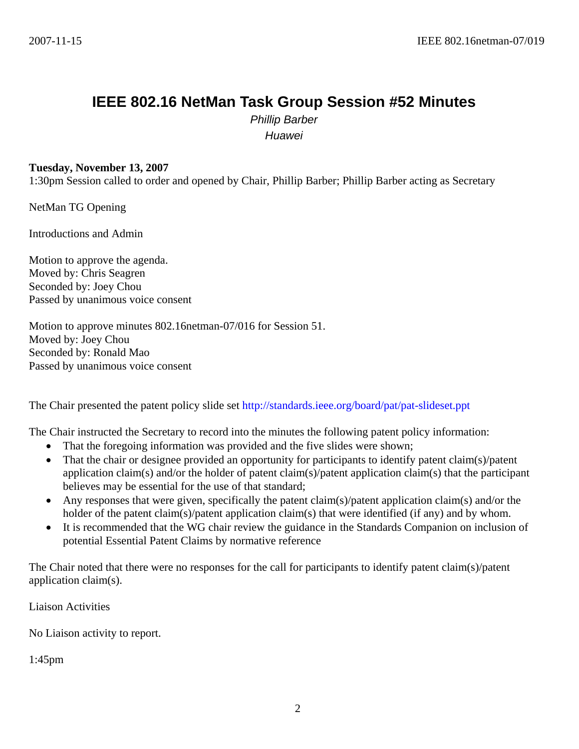## **IEEE 802.16 NetMan Task Group Session #52 Minutes**

*Phillip Barber Huawei* 

## **Tuesday, November 13, 2007**

1:30pm Session called to order and opened by Chair, Phillip Barber; Phillip Barber acting as Secretary

NetMan TG Opening

Introductions and Admin

Motion to approve the agenda. Moved by: Chris Seagren Seconded by: Joey Chou Passed by unanimous voice consent

Motion to approve minutes 802.16netman-07/016 for Session 51. Moved by: Joey Chou Seconded by: Ronald Mao Passed by unanimous voice consent

The Chair presented the patent policy slide set http://standards.ieee.org/board/pat/pat-slideset.ppt

The Chair instructed the Secretary to record into the minutes the following patent policy information:

- That the foregoing information was provided and the five slides were shown;
- That the chair or designee provided an opportunity for participants to identify patent claim(s)/patent application claim(s) and/or the holder of patent claim(s)/patent application claim(s) that the participant believes may be essential for the use of that standard;
- Any responses that were given, specifically the patent claim(s)/patent application claim(s) and/or the holder of the patent claim(s)/patent application claim(s) that were identified (if any) and by whom.
- It is recommended that the WG chair review the guidance in the Standards Companion on inclusion of potential Essential Patent Claims by normative reference

The Chair noted that there were no responses for the call for participants to identify patent claim(s)/patent application claim(s).

Liaison Activities

No Liaison activity to report.

1:45pm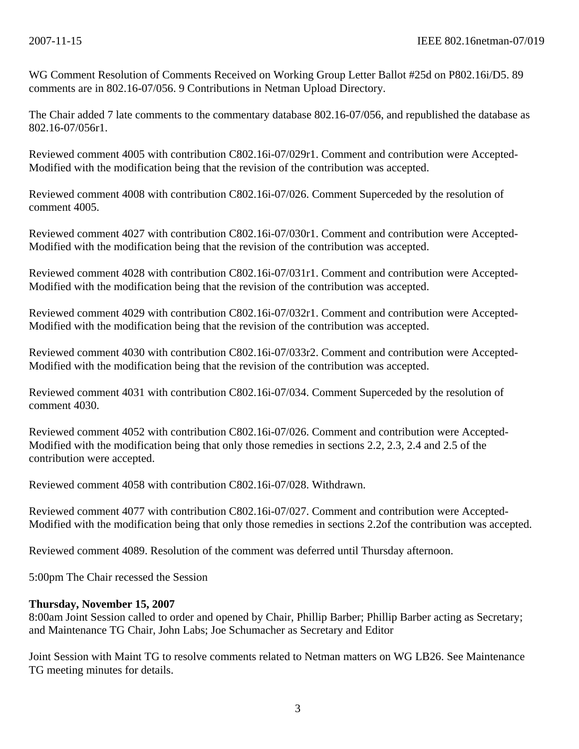WG Comment Resolution of Comments Received on Working Group Letter Ballot #25d on P802.16i/D5. 89 comments are in 802.16-07/056. 9 Contributions in Netman Upload Directory.

The Chair added 7 late comments to the commentary database 802.16-07/056, and republished the database as 802.16-07/056r1.

Reviewed comment 4005 with contribution C802.16i-07/029r1. Comment and contribution were Accepted-Modified with the modification being that the revision of the contribution was accepted.

Reviewed comment 4008 with contribution C802.16i-07/026. Comment Superceded by the resolution of comment 4005.

Reviewed comment 4027 with contribution C802.16i-07/030r1. Comment and contribution were Accepted-Modified with the modification being that the revision of the contribution was accepted.

Reviewed comment 4028 with contribution C802.16i-07/031r1. Comment and contribution were Accepted-Modified with the modification being that the revision of the contribution was accepted.

Reviewed comment 4029 with contribution C802.16i-07/032r1. Comment and contribution were Accepted-Modified with the modification being that the revision of the contribution was accepted.

Reviewed comment 4030 with contribution C802.16i-07/033r2. Comment and contribution were Accepted-Modified with the modification being that the revision of the contribution was accepted.

Reviewed comment 4031 with contribution C802.16i-07/034. Comment Superceded by the resolution of comment 4030.

Reviewed comment 4052 with contribution C802.16i-07/026. Comment and contribution were Accepted-Modified with the modification being that only those remedies in sections 2.2, 2.3, 2.4 and 2.5 of the contribution were accepted.

Reviewed comment 4058 with contribution C802.16i-07/028. Withdrawn.

Reviewed comment 4077 with contribution C802.16i-07/027. Comment and contribution were Accepted-Modified with the modification being that only those remedies in sections 2.2of the contribution was accepted.

Reviewed comment 4089. Resolution of the comment was deferred until Thursday afternoon.

5:00pm The Chair recessed the Session

## **Thursday, November 15, 2007**

8:00am Joint Session called to order and opened by Chair, Phillip Barber; Phillip Barber acting as Secretary; and Maintenance TG Chair, John Labs; Joe Schumacher as Secretary and Editor

Joint Session with Maint TG to resolve comments related to Netman matters on WG LB26. See Maintenance TG meeting minutes for details.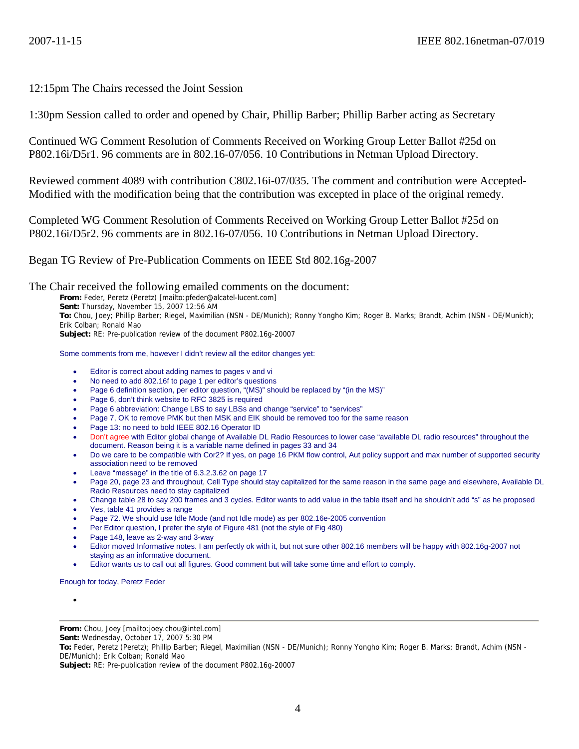12:15pm The Chairs recessed the Joint Session

1:30pm Session called to order and opened by Chair, Phillip Barber; Phillip Barber acting as Secretary

Continued WG Comment Resolution of Comments Received on Working Group Letter Ballot #25d on P802.16i/D5r1. 96 comments are in 802.16-07/056. 10 Contributions in Netman Upload Directory.

Reviewed comment 4089 with contribution C802.16i-07/035. The comment and contribution were Accepted-Modified with the modification being that the contribution was excepted in place of the original remedy.

Completed WG Comment Resolution of Comments Received on Working Group Letter Ballot #25d on P802.16i/D5r2. 96 comments are in 802.16-07/056. 10 Contributions in Netman Upload Directory.

Began TG Review of Pre-Publication Comments on IEEE Std 802.16g-2007

The Chair received the following emailed comments on the document:

**From:** Feder, Peretz (Peretz) [mailto:pfeder@alcatel-lucent.com]

**Sent:** Thursday, November 15, 2007 12:56 AM **To:** Chou, Joey; Phillip Barber; Riegel, Maximilian (NSN - DE/Munich); Ronny Yongho Kim; Roger B. Marks; Brandt, Achim (NSN - DE/Munich); Erik Colban; Ronald Mao **Subject:** RE: Pre-publication review of the document P802.16g-20007

Some comments from me, however I didn't review all the editor changes yet:

- Editor is correct about adding names to pages v and vi
- No need to add 802.16f to page 1 per editor's questions
- Page 6 definition section, per editor question, "(MS)" should be replaced by "(in the MS)"
- Page 6, don't think website to RFC 3825 is required
- Page 6 abbreviation: Change LBS to say LBSs and change "service" to "services"
- Page 7, OK to remove PMK but then MSK and EIK should be removed too for the same reason
- Page 13: no need to bold IEEE 802.16 Operator ID
- Don't agree with Editor global change of Available DL Radio Resources to lower case "available DL radio resources" throughout the document. Reason being it is a variable name defined in pages 33 and 34
- Do we care to be compatible with Cor2? If yes, on page 16 PKM flow control, Aut policy support and max number of supported security association need to be removed
- Leave "message" in the title of 6.3.2.3.62 on page 17
- Page 20, page 23 and throughout, Cell Type should stay capitalized for the same reason in the same page and elsewhere, Available DL Radio Resources need to stay capitalized
- Change table 28 to say 200 frames and 3 cycles. Editor wants to add value in the table itself and he shouldn't add "s" as he proposed Yes, table 41 provides a range
- Page 72. We should use Idle Mode (and not Idle mode) as per 802.16e-2005 convention
- Per Editor question, I prefer the style of Figure 481 (not the style of Fig 480)
- Page 148, leave as 2-way and 3-way
- Editor moved Informative notes. I am perfectly ok with it, but not sure other 802.16 members will be happy with 802.16g-2007 not staying as an informative document.
- Editor wants us to call out all figures. Good comment but will take some time and effort to comply.

Enough for today, Peretz Feder

•

**From:** Chou, Joey [mailto:joey.chou@intel.com]

**Sent:** Wednesday, October 17, 2007 5:30 PM

**To:** Feder, Peretz (Peretz); Phillip Barber; Riegel, Maximilian (NSN - DE/Munich); Ronny Yongho Kim; Roger B. Marks; Brandt, Achim (NSN - DE/Munich); Erik Colban; Ronald Mao

**Subject:** RE: Pre-publication review of the document P802.16g-20007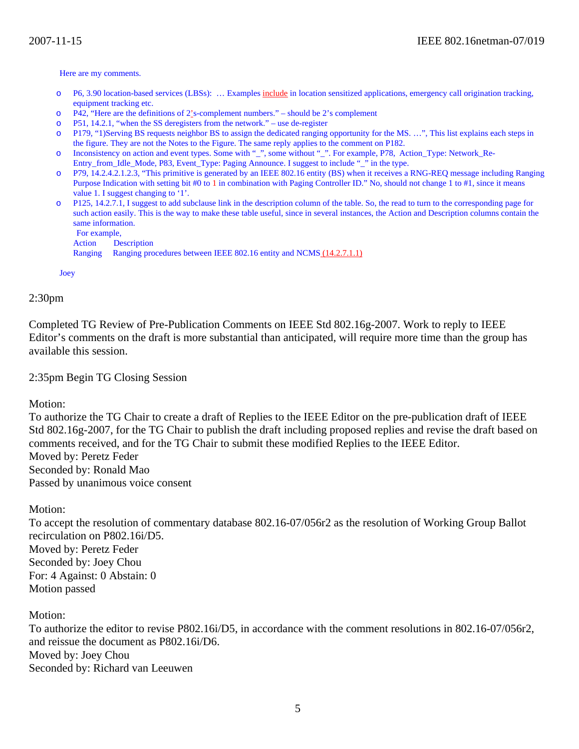Here are my comments.

- o P6, 3.90 location-based services (LBSs): … Examples include in location sensitized applications, emergency call origination tracking, equipment tracking etc.
- o P42, "Here are the definitions of 2's-complement numbers." should be 2's complement
- o P51, 14.2.1, "when the SS deregisters from the network." use de-register
- o P179, "1)Serving BS requests neighbor BS to assign the dedicated ranging opportunity for the MS. …", This list explains each steps in the figure. They are not the Notes to the Figure. The same reply applies to the comment on P182.
- o Inconsistency on action and event types. Some with "\_", some without "\_". For example, P78, Action\_Type: Network\_Re-Entry\_from\_Idle\_Mode, P83, Event\_Type: Paging Announce. I suggest to include "\_" in the type.
- o P79, 14.2.4.2.1.2.3, "This primitive is generated by an IEEE 802.16 entity (BS) when it receives a RNG-REQ message including Ranging Purpose Indication with setting bit #0 to 1 in combination with Paging Controller ID." No, should not change 1 to #1, since it means value 1. I suggest changing to '1'.
- o P125, 14.2.7.1, I suggest to add subclause link in the description column of the table. So, the read to turn to the corresponding page for such action easily. This is the way to make these table useful, since in several instances, the Action and Description columns contain the same information. For example,
	- Action Description Ranging Ranging procedures between IEEE 802.16 entity and NCMS (14.2.7.1.1)

Joey

## 2:30pm

Completed TG Review of Pre-Publication Comments on IEEE Std 802.16g-2007. Work to reply to IEEE Editor's comments on the draft is more substantial than anticipated, will require more time than the group has available this session.

2:35pm Begin TG Closing Session

Motion:

To authorize the TG Chair to create a draft of Replies to the IEEE Editor on the pre-publication draft of IEEE Std 802.16g-2007, for the TG Chair to publish the draft including proposed replies and revise the draft based on comments received, and for the TG Chair to submit these modified Replies to the IEEE Editor. Moved by: Peretz Feder Seconded by: Ronald Mao Passed by unanimous voice consent

Motion:

To accept the resolution of commentary database 802.16-07/056r2 as the resolution of Working Group Ballot recirculation on P802.16i/D5. Moved by: Peretz Feder Seconded by: Joey Chou For: 4 Against: 0 Abstain: 0 Motion passed

Motion:

To authorize the editor to revise P802.16i/D5, in accordance with the comment resolutions in 802.16-07/056r2, and reissue the document as P802.16i/D6. Moved by: Joey Chou Seconded by: Richard van Leeuwen